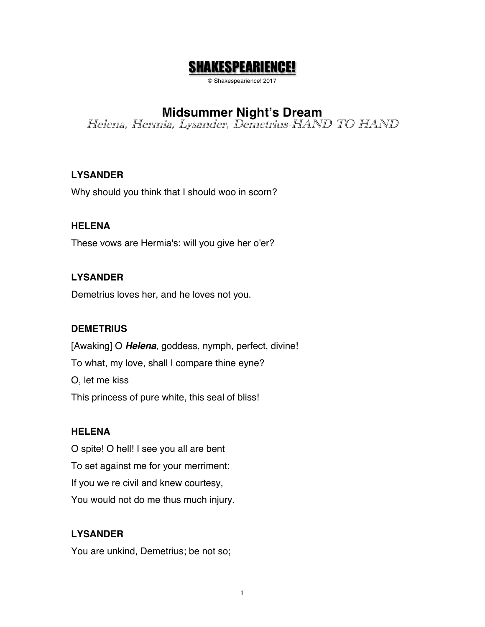# SHAKESPEARIENCE!

© Shakespearience! 2017

# **Midsummer Night's Dream**

Helena, Hermia, Lysander, Demetrius-HAND TO HAND

## **LYSANDER**

Why should you think that I should woo in scorn?

## **HELENA**

These vows are Hermia's: will you give her o'er?

## **LYSANDER**

Demetrius loves her, and he loves not you.

## **DEMETRIUS**

[Awaking] O *Helena*, goddess, nymph, perfect, divine! To what, my love, shall I compare thine eyne? O, let me kiss This princess of pure white, this seal of bliss!

## **HELENA**

O spite! O hell! I see you all are bent To set against me for your merriment: If you we re civil and knew courtesy, You would not do me thus much injury.

# **LYSANDER**

You are unkind, Demetrius; be not so;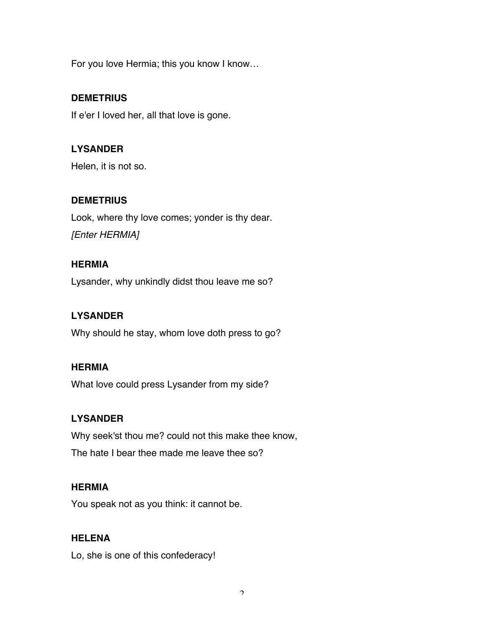For you love Hermia; this you know I know…

## **DEMETRIUS**

If e'er I loved her, all that love is gone.

# **LYSANDER**

Helen, it is not so.

## **DEMETRIUS**

Look, where thy love comes; yonder is thy dear. *[Enter HERMIA]*

## **HERMIA**

Lysander, why unkindly didst thou leave me so?

## **LYSANDER**

Why should he stay, whom love doth press to go?

## **HERMIA**

What love could press Lysander from my side?

## **LYSANDER**

Why seek'st thou me? could not this make thee know, The hate I bear thee made me leave thee so?

## **HERMIA**

You speak not as you think: it cannot be.

## **HELENA**

Lo, she is one of this confederacy!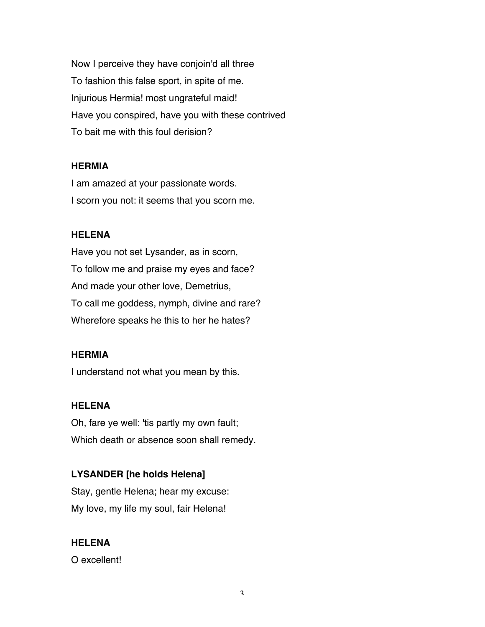Now I perceive they have conjoin'd all three To fashion this false sport, in spite of me. Injurious Hermia! most ungrateful maid! Have you conspired, have you with these contrived To bait me with this foul derision?

#### **HERMIA**

I am amazed at your passionate words. I scorn you not: it seems that you scorn me.

#### **HELENA**

Have you not set Lysander, as in scorn, To follow me and praise my eyes and face? And made your other love, Demetrius, To call me goddess, nymph, divine and rare? Wherefore speaks he this to her he hates?

#### **HERMIA**

I understand not what you mean by this.

#### **HELENA**

Oh, fare ye well: 'tis partly my own fault; Which death or absence soon shall remedy.

## **LYSANDER [he holds Helena]**

Stay, gentle Helena; hear my excuse: My love, my life my soul, fair Helena!

#### **HELENA**

O excellent!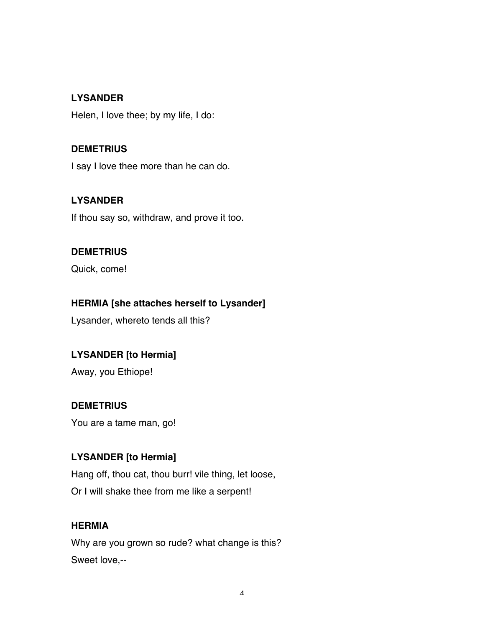## **LYSANDER**

Helen, I love thee; by my life, I do:

## **DEMETRIUS**

I say I love thee more than he can do.

#### **LYSANDER**

If thou say so, withdraw, and prove it too.

#### **DEMETRIUS**

Quick, come!

## **HERMIA [she attaches herself to Lysander]**

Lysander, whereto tends all this?

# **LYSANDER [to Hermia]**

Away, you Ethiope!

## **DEMETRIUS**

You are a tame man, go!

## **LYSANDER [to Hermia]**

Hang off, thou cat, thou burr! vile thing, let loose, Or I will shake thee from me like a serpent!

## **HERMIA**

Why are you grown so rude? what change is this? Sweet love,--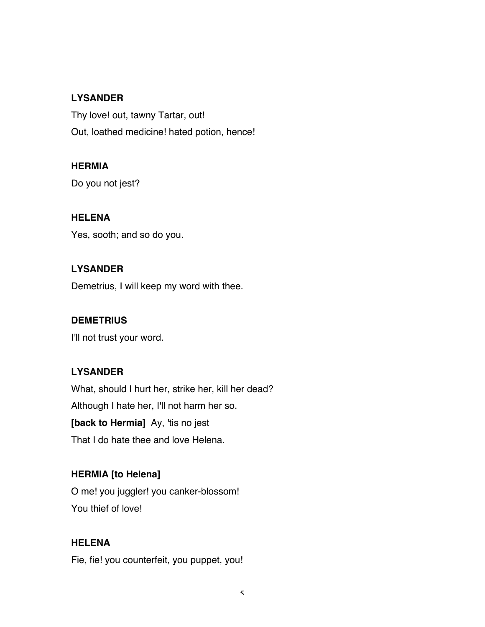## **LYSANDER**

Thy love! out, tawny Tartar, out! Out, loathed medicine! hated potion, hence!

## **HERMIA**

Do you not jest?

#### **HELENA**

Yes, sooth; and so do you.

## **LYSANDER**

Demetrius, I will keep my word with thee.

## **DEMETRIUS**

I'll not trust your word.

## **LYSANDER**

What, should I hurt her, strike her, kill her dead? Although I hate her, I'll not harm her so. **[back to Hermia]** Ay, 'tis no jest That I do hate thee and love Helena.

## **HERMIA [to Helena]**

O me! you juggler! you canker-blossom! You thief of love!

#### **HELENA**

Fie, fie! you counterfeit, you puppet, you!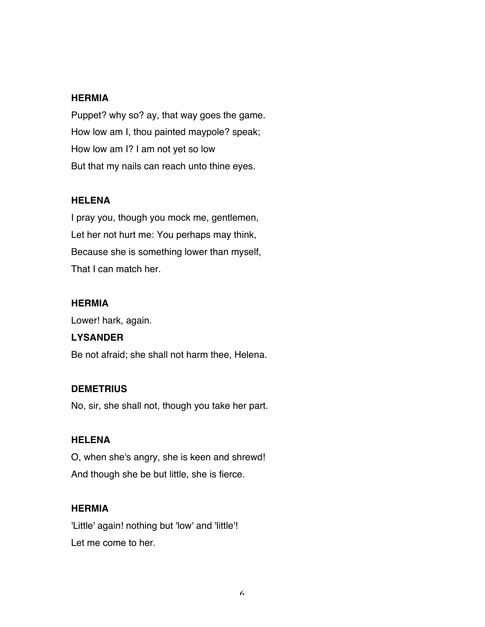#### **HERMIA**

Puppet? why so? ay, that way goes the game. How low am I, thou painted maypole? speak; How low am I? I am not yet so low But that my nails can reach unto thine eyes.

#### **HELENA**

I pray you, though you mock me, gentlemen, Let her not hurt me: You perhaps may think, Because she is something lower than myself, That I can match her.

## **HERMIA**

Lower! hark, again.

## **LYSANDER**

Be not afraid; she shall not harm thee, Helena.

## **DEMETRIUS**

No, sir, she shall not, though you take her part.

## **HELENA**

O, when she's angry, she is keen and shrewd! And though she be but little, she is fierce.

## **HERMIA**

'Little' again! nothing but 'low' and 'little'! Let me come to her.